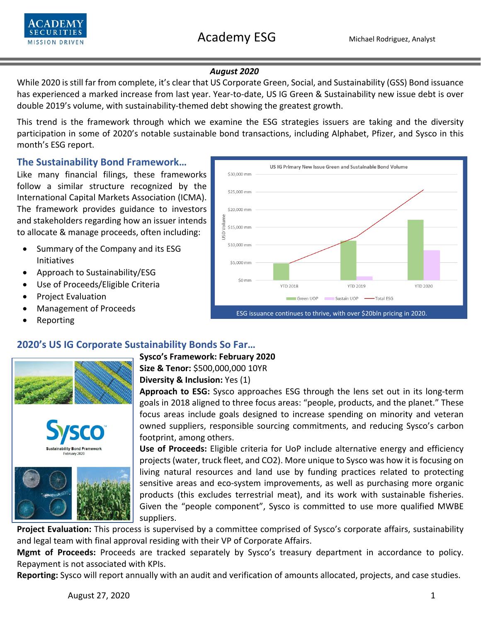



### *August 2020*

While 2020 is still far from complete, it's clear that US Corporate Green, Social, and Sustainability (GSS) Bond issuance has experienced a marked increase from last year. Year-to-date, US IG Green & Sustainability new issue debt is over double 2019's volume, with sustainability-themed debt showing the greatest growth.

This trend is the framework through which we examine the ESG strategies issuers are taking and the diversity participation in some of 2020's notable sustainable bond transactions, including Alphabet, Pfizer, and Sysco in this month's ESG report.

\$30,000 mm

\$25,000 mm

\$20,000 mm

\$10,000 mm

\$5,000 mm

 $$0$  mm

JSD Volume \$15,000 mm

# **The Sustainability Bond Framework…**

Like many financial filings, these frameworks follow a similar structure recognized by the International Capital Markets Association (ICMA). The framework provides guidance to investors and stakeholders regarding how an issuer intends to allocate & manage proceeds, often including:

- Summary of the Company and its ESG Initiatives
- Approach to Sustainability/ESG
- Use of Proceeds/Eligible Criteria
- Project Evaluation
- Management of Proceeds
- Reporting







**Sysco's Framework: February 2020 Size & Tenor:** \$500,000,000 10YR

**Diversity & Inclusion:** Yes (1)

**Approach to ESG:** Sysco approaches ESG through the lens set out in its long-term goals in 2018 aligned to three focus areas: "people, products, and the planet." These focus areas include goals designed to increase spending on minority and veteran owned suppliers, responsible sourcing commitments, and reducing Sysco's carbon footprint, among others.

**YTD 2018** 

Green UOP

ESG issuance continues to thrive, with over \$20bln pricing in 2020.

**YTD 2019** 

-Total ESG

Sustain UOP -

**YTD 2020** 

US IG Primary New Issue Green and Sustainable Bond Volume

**Use of Proceeds:** Eligible criteria for UoP include alternative energy and efficiency projects (water, truck fleet, and CO2). More unique to Sysco was how it is focusing on living natural resources and land use by funding practices related to protecting sensitive areas and eco-system improvements, as well as purchasing more organic products (this excludes terrestrial meat), and its work with sustainable fisheries. Given the "people component", Sysco is committed to use more qualified MWBE suppliers.

**Project Evaluation:** This process is supervised by a committee comprised of Sysco's corporate affairs, sustainability and legal team with final approval residing with their VP of Corporate Affairs.

**Mgmt of Proceeds:** Proceeds are tracked separately by Sysco's treasury department in accordance to policy. Repayment is not associated with KPIs.

**Reporting:** Sysco will report annually with an audit and verification of amounts allocated, projects, and case studies.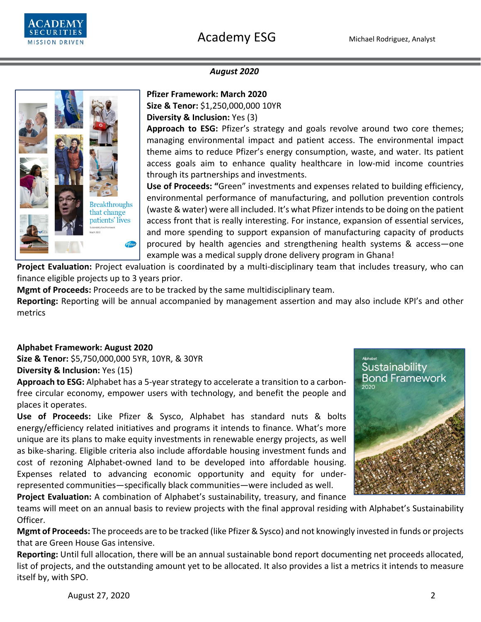

### *August 2020*



#### **Pfizer Framework: March 2020**

**Size & Tenor:** \$1,250,000,000 10YR

**Diversity & Inclusion:** Yes (3)

**Approach to ESG:** Pfizer's strategy and goals revolve around two core themes; managing environmental impact and patient access. The environmental impact theme aims to reduce Pfizer's energy consumption, waste, and water. Its patient access goals aim to enhance quality healthcare in low-mid income countries through its partnerships and investments.

**Use of Proceeds: "**Green" investments and expenses related to building efficiency, environmental performance of manufacturing, and pollution prevention controls (waste & water) were all included. It's what Pfizer intends to be doing on the patient access front that is really interesting. For instance, expansion of essential services, and more spending to support expansion of manufacturing capacity of products procured by health agencies and strengthening health systems & access—one example was a medical supply drone delivery program in Ghana!

**Project Evaluation:** Project evaluation is coordinated by a multi-disciplinary team that includes treasury, who can finance eligible projects up to 3 years prior.

**Mgmt of Proceeds:** Proceeds are to be tracked by the same multidisciplinary team.

**Reporting:** Reporting will be annual accompanied by management assertion and may also include KPI's and other metrics

### **Alphabet Framework: August 2020**

**Size & Tenor:** \$5,750,000,000 5YR, 10YR, & 30YR **Diversity & Inclusion:** Yes (15)

**Approach to ESG:** Alphabet has a 5-year strategy to accelerate a transition to a carbonfree circular economy, empower users with technology, and benefit the people and places it operates.

**Use of Proceeds:** Like Pfizer & Sysco, Alphabet has standard nuts & bolts energy/efficiency related initiatives and programs it intends to finance. What's more unique are its plans to make equity investments in renewable energy projects, as well as bike-sharing. Eligible criteria also include affordable housing investment funds and cost of rezoning Alphabet-owned land to be developed into affordable housing. Expenses related to advancing economic opportunity and equity for underrepresented communities—specifically black communities—were included as well.



**Project Evaluation:** A combination of Alphabet's sustainability, treasury, and finance

teams will meet on an annual basis to review projects with the final approval residing with Alphabet's Sustainability Officer.

**Mgmt of Proceeds:** The proceeds are to be tracked (like Pfizer & Sysco) and not knowingly invested in funds or projects that are Green House Gas intensive.

**Reporting:** Until full allocation, there will be an annual sustainable bond report documenting net proceeds allocated, list of projects, and the outstanding amount yet to be allocated. It also provides a list a metrics it intends to measure itself by, with SPO.